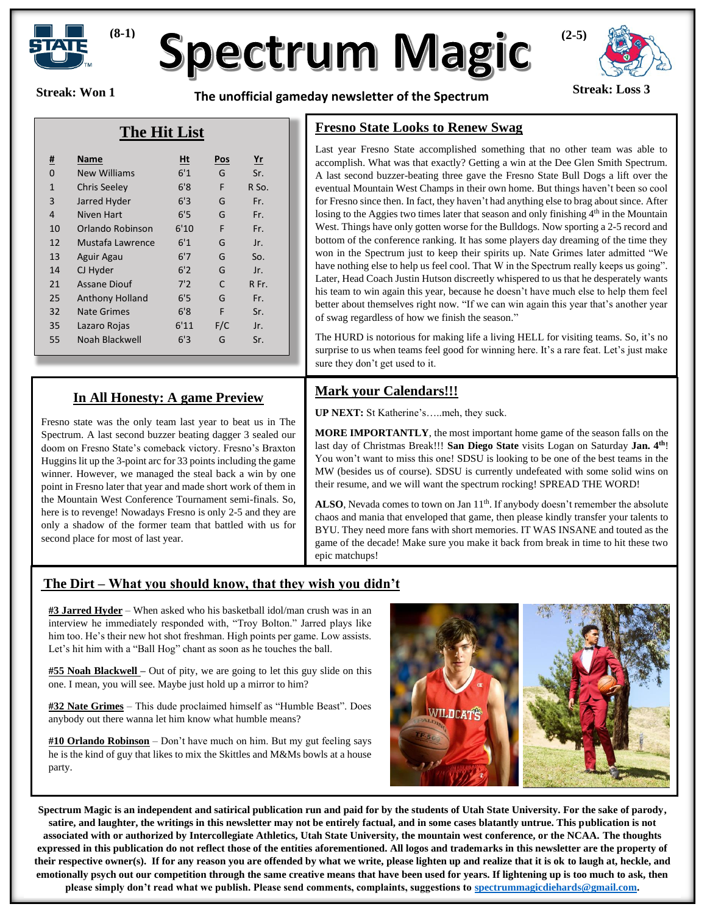

# **Spectrum Magic**

**Streak: Won 1**

**Streak: Loss 3 The unofficial gameday newsletter of the Spectrum** 



## **The Hit List**

| <u>#</u>     | Name                   | Ht   | <b>Pos</b>   | $r$   |
|--------------|------------------------|------|--------------|-------|
| 0            | <b>New Williams</b>    | 6'1  | G            | Sr.   |
| $\mathbf{1}$ | Chris Seeley           | 6'8  | F            | R So. |
| 3            | Jarred Hyder           | 6'3  | G            | Fr.   |
| 4            | Niven Hart             | 6'5  | G            | Fr.   |
| 10           | Orlando Robinson       | 6'10 | F            | Fr.   |
| 12           | Mustafa Lawrence       | 6'1  | G            | Jr.   |
| 13           | Aguir Agau             | 6'7  | G            | So.   |
| 14           | CJ Hyder               | 6'2  | G            | Jr.   |
| 21           | <b>Assane Diouf</b>    | 7'2  | $\mathsf{C}$ | R Fr. |
| 25           | <b>Anthony Holland</b> | 6'5  | G            | Fr.   |
| 32           | <b>Nate Grimes</b>     | 6'8  | F            | Sr.   |
| 35           | Lazaro Rojas           | 6'11 | F/C          | Jr.   |
| 55           | Noah Blackwell         | 6'3  | G            | Sr.   |

#### **In All Honesty: A game Preview**

Fresno state was the only team last year to beat us in The Spectrum. A last second buzzer beating dagger 3 sealed our doom on Fresno State's comeback victory. Fresno's Braxton Huggins lit up the 3-point arc for 33 points including the game winner. However, we managed the steal back a win by one point in Fresno later that year and made short work of them in the Mountain West Conference Tournament semi-finals. So, here is to revenge! Nowadays Fresno is only 2-5 and they are only a shadow of the former team that battled with us for second place for most of last year.

#### **Fresno State Looks to Renew Swag**

Last year Fresno State accomplished something that no other team was able to accomplish. What was that exactly? Getting a win at the Dee Glen Smith Spectrum. A last second buzzer-beating three gave the Fresno State Bull Dogs a lift over the eventual Mountain West Champs in their own home. But things haven't been so cool for Fresno since then. In fact, they haven't had anything else to brag about since. After losing to the Aggies two times later that season and only finishing  $4<sup>th</sup>$  in the Mountain West. Things have only gotten worse for the Bulldogs. Now sporting a 2-5 record and bottom of the conference ranking. It has some players day dreaming of the time they won in the Spectrum just to keep their spirits up. Nate Grimes later admitted "We have nothing else to help us feel cool. That W in the Spectrum really keeps us going". Later, Head Coach Justin Hutson discreetly whispered to us that he desperately wants his team to win again this year, because he doesn't have much else to help them feel better about themselves right now. "If we can win again this year that's another year of swag regardless of how we finish the season."

The HURD is notorious for making life a living HELL for visiting teams. So, it's no surprise to us when teams feel good for winning here. It's a rare feat. Let's just make sure they don't get used to it.

### **Mark your Calendars!!!**

**UP NEXT:** St Katherine's…..meh, they suck.

**MORE IMPORTANTLY**, the most important home game of the season falls on the last day of Christmas Break!!! **San Diego State** visits Logan on Saturday **Jan. 4th**! You won't want to miss this one! SDSU is looking to be one of the best teams in the MW (besides us of course). SDSU is currently undefeated with some solid wins on their resume, and we will want the spectrum rocking! SPREAD THE WORD!

ALSO, Nevada comes to town on Jan 11<sup>th</sup>. If anybody doesn't remember the absolute chaos and mania that enveloped that game, then please kindly transfer your talents to BYU. They need more fans with short memories. IT WAS INSANE and touted as the game of the decade! Make sure you make it back from break in time to hit these two epic matchups!

#### **The Dirt – What you should know, that they wish you didn't**

**#3 Jarred Hyder** – When asked who his basketball idol/man crush was in an interview he immediately responded with, "Troy Bolton." Jarred plays like him too. He's their new hot shot freshman. High points per game. Low assists. Let's hit him with a "Ball Hog" chant as soon as he touches the ball.

**#55 Noah Blackwell –** Out of pity, we are going to let this guy slide on this one. I mean, you will see. Maybe just hold up a mirror to him?

**#32 Nate Grimes** – This dude proclaimed himself as "Humble Beast". Does anybody out there wanna let him know what humble means?

**#10 Orlando Robinson** – Don't have much on him. But my gut feeling says he is the kind of guy that likes to mix the Skittles and M&Ms bowls at a house party.



**Spectrum Magic is an independent and satirical publication run and paid for by the students of Utah State University. For the sake of parody, satire, and laughter, the writings in this newsletter may not be entirely factual, and in some cases blatantly untrue. This publication is not associated with or authorized by Intercollegiate Athletics, Utah State University, the mountain west conference, or the NCAA. The thoughts expressed in this publication do not reflect those of the entities aforementioned. All logos and trademarks in this newsletter are the property of their respective owner(s). If for any reason you are offended by what we write, please lighten up and realize that it is ok to laugh at, heckle, and emotionally psych out our competition through the same creative means that have been used for years. If lightening up is too much to ask, then please simply don't read what we publish. Please send comments, complaints, suggestions to [spectrummagicdiehards@gmail.com.](mailto:spectrummagicdiehards@gmail.com)**